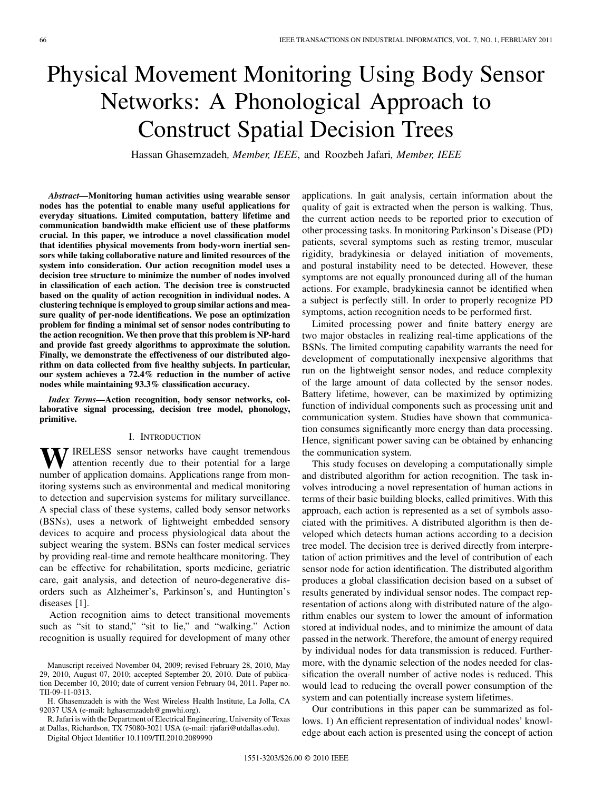# Physical Movement Monitoring Using Body Sensor Networks: A Phonological Approach to Construct Spatial Decision Trees

Hassan Ghasemzadeh*, Member, IEEE*, and Roozbeh Jafari*, Member, IEEE*

*Abstract—***Monitoring human activities using wearable sensor nodes has the potential to enable many useful applications for everyday situations. Limited computation, battery lifetime and communication bandwidth make efficient use of these platforms crucial. In this paper, we introduce a novel classification model that identifies physical movements from body-worn inertial sensors while taking collaborative nature and limited resources of the system into consideration. Our action recognition model uses a decision tree structure to minimize the number of nodes involved in classification of each action. The decision tree is constructed based on the quality of action recognition in individual nodes. A clustering technique is employed to group similar actions and measure quality of per-node identifications. We pose an optimization problem for finding a minimal set of sensor nodes contributing to the action recognition. We then prove that this problem is NP-hard and provide fast greedy algorithms to approximate the solution. Finally, we demonstrate the effectiveness of our distributed algorithm on data collected from five healthy subjects. In particular, our system achieves a 72.4% reduction in the number of active nodes while maintaining 93.3% classification accuracy.**

*Index Terms—***Action recognition, body sensor networks, collaborative signal processing, decision tree model, phonology, primitive.**

### I. INTRODUCTION

**W**IRELESS sensor networks have caught tremendous attention recently due to their potential for a large number of application domains. Applications range from monitoring systems such as environmental and medical monitoring to detection and supervision systems for military surveillance. A special class of these systems, called body sensor networks (BSNs), uses a network of lightweight embedded sensory devices to acquire and process physiological data about the subject wearing the system. BSNs can foster medical services by providing real-time and remote healthcare monitoring. They can be effective for rehabilitation, sports medicine, geriatric care, gait analysis, and detection of neuro-degenerative disorders such as Alzheimer's, Parkinson's, and Huntington's diseases [1].

Action recognition aims to detect transitional movements such as "sit to stand," "sit to lie," and "walking." Action recognition is usually required for development of many other

R. Jafari is with the Department of Electrical Engineering, University of Texas at Dallas, Richardson, TX 75080-3021 USA (e-mail: rjafari@utdallas.edu).

Digital Object Identifier 10.1109/TII.2010.2089990

applications. In gait analysis, certain information about the quality of gait is extracted when the person is walking. Thus, the current action needs to be reported prior to execution of other processing tasks. In monitoring Parkinson's Disease (PD) patients, several symptoms such as resting tremor, muscular rigidity, bradykinesia or delayed initiation of movements, and postural instability need to be detected. However, these symptoms are not equally pronounced during all of the human actions. For example, bradykinesia cannot be identified when a subject is perfectly still. In order to properly recognize PD symptoms, action recognition needs to be performed first.

Limited processing power and finite battery energy are two major obstacles in realizing real-time applications of the BSNs. The limited computing capability warrants the need for development of computationally inexpensive algorithms that run on the lightweight sensor nodes, and reduce complexity of the large amount of data collected by the sensor nodes. Battery lifetime, however, can be maximized by optimizing function of individual components such as processing unit and communication system. Studies have shown that communication consumes significantly more energy than data processing. Hence, significant power saving can be obtained by enhancing the communication system.

This study focuses on developing a computationally simple and distributed algorithm for action recognition. The task involves introducing a novel representation of human actions in terms of their basic building blocks, called primitives. With this approach, each action is represented as a set of symbols associated with the primitives. A distributed algorithm is then developed which detects human actions according to a decision tree model. The decision tree is derived directly from interpretation of action primitives and the level of contribution of each sensor node for action identification. The distributed algorithm produces a global classification decision based on a subset of results generated by individual sensor nodes. The compact representation of actions along with distributed nature of the algorithm enables our system to lower the amount of information stored at individual nodes, and to minimize the amount of data passed in the network. Therefore, the amount of energy required by individual nodes for data transmission is reduced. Furthermore, with the dynamic selection of the nodes needed for classification the overall number of active nodes is reduced. This would lead to reducing the overall power consumption of the system and can potentially increase system lifetimes.

Our contributions in this paper can be summarized as follows. 1) An efficient representation of individual nodes' knowledge about each action is presented using the concept of action

Manuscript received November 04, 2009; revised February 28, 2010, May 29, 2010, August 07, 2010; accepted September 20, 2010. Date of publication December 10, 2010; date of current version February 04, 2011. Paper no. TII-09-11-0313.

H. Ghasemzadeh is with the West Wireless Health Institute, La Jolla, CA 92037 USA (e-mail: hghasemzadeh@gmwhi.org).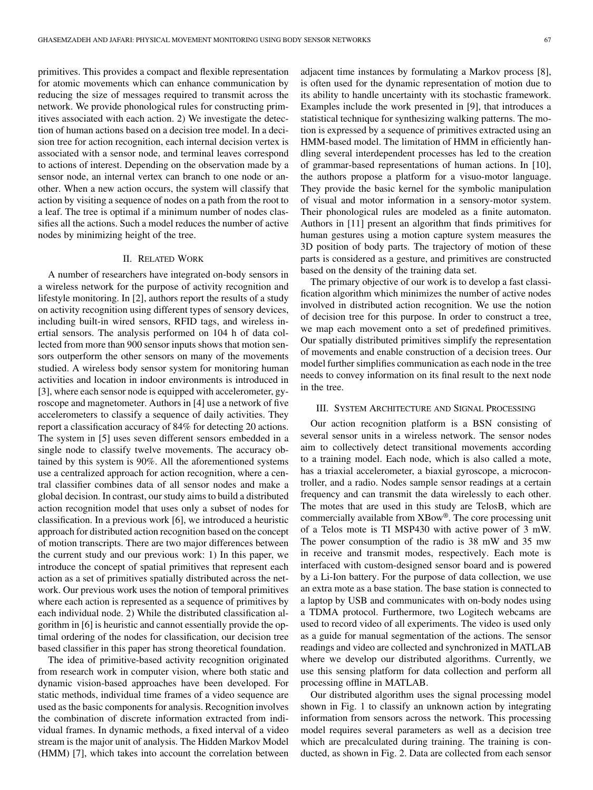primitives. This provides a compact and flexible representation for atomic movements which can enhance communication by reducing the size of messages required to transmit across the network. We provide phonological rules for constructing primitives associated with each action. 2) We investigate the detection of human actions based on a decision tree model. In a decision tree for action recognition, each internal decision vertex is associated with a sensor node, and terminal leaves correspond to actions of interest. Depending on the observation made by a sensor node, an internal vertex can branch to one node or another. When a new action occurs, the system will classify that action by visiting a sequence of nodes on a path from the root to a leaf. The tree is optimal if a minimum number of nodes classifies all the actions. Such a model reduces the number of active nodes by minimizing height of the tree.

# II. RELATED WORK

A number of researchers have integrated on-body sensors in a wireless network for the purpose of activity recognition and lifestyle monitoring. In [2], authors report the results of a study on activity recognition using different types of sensory devices, including built-in wired sensors, RFID tags, and wireless inertial sensors. The analysis performed on 104 h of data collected from more than 900 sensor inputs shows that motion sensors outperform the other sensors on many of the movements studied. A wireless body sensor system for monitoring human activities and location in indoor environments is introduced in [3], where each sensor node is equipped with accelerometer, gyroscope and magnetometer. Authors in [4] use a network of five accelerometers to classify a sequence of daily activities. They report a classification accuracy of 84% for detecting 20 actions. The system in [5] uses seven different sensors embedded in a single node to classify twelve movements. The accuracy obtained by this system is 90%. All the aforementioned systems use a centralized approach for action recognition, where a central classifier combines data of all sensor nodes and make a global decision. In contrast, our study aims to build a distributed action recognition model that uses only a subset of nodes for classification. In a previous work [6], we introduced a heuristic approach for distributed action recognition based on the concept of motion transcripts. There are two major differences between the current study and our previous work: 1) In this paper, we introduce the concept of spatial primitives that represent each action as a set of primitives spatially distributed across the network. Our previous work uses the notion of temporal primitives where each action is represented as a sequence of primitives by each individual node. 2) While the distributed classification algorithm in [6] is heuristic and cannot essentially provide the optimal ordering of the nodes for classification, our decision tree based classifier in this paper has strong theoretical foundation.

The idea of primitive-based activity recognition originated from research work in computer vision, where both static and dynamic vision-based approaches have been developed. For static methods, individual time frames of a video sequence are used as the basic components for analysis. Recognition involves the combination of discrete information extracted from individual frames. In dynamic methods, a fixed interval of a video stream is the major unit of analysis. The Hidden Markov Model (HMM) [7], which takes into account the correlation between

adjacent time instances by formulating a Markov process [8], is often used for the dynamic representation of motion due to its ability to handle uncertainty with its stochastic framework. Examples include the work presented in [9], that introduces a statistical technique for synthesizing walking patterns. The motion is expressed by a sequence of primitives extracted using an HMM-based model. The limitation of HMM in efficiently handling several interdependent processes has led to the creation of grammar-based representations of human actions. In [10], the authors propose a platform for a visuo-motor language. They provide the basic kernel for the symbolic manipulation of visual and motor information in a sensory-motor system. Their phonological rules are modeled as a finite automaton. Authors in [11] present an algorithm that finds primitives for human gestures using a motion capture system measures the 3D position of body parts. The trajectory of motion of these parts is considered as a gesture, and primitives are constructed based on the density of the training data set.

The primary objective of our work is to develop a fast classification algorithm which minimizes the number of active nodes involved in distributed action recognition. We use the notion of decision tree for this purpose. In order to construct a tree, we map each movement onto a set of predefined primitives. Our spatially distributed primitives simplify the representation of movements and enable construction of a decision trees. Our model further simplifies communication as each node in the tree needs to convey information on its final result to the next node in the tree.

# III. SYSTEM ARCHITECTURE AND SIGNAL PROCESSING

Our action recognition platform is a BSN consisting of several sensor units in a wireless network. The sensor nodes aim to collectively detect transitional movements according to a training model. Each node, which is also called a mote, has a triaxial accelerometer, a biaxial gyroscope, a microcontroller, and a radio. Nodes sample sensor readings at a certain frequency and can transmit the data wirelessly to each other. The motes that are used in this study are TelosB, which are commercially available from XBow®. The core processing unit of a Telos mote is TI MSP430 with active power of 3 mW. The power consumption of the radio is 38 mW and 35 mw in receive and transmit modes, respectively. Each mote is interfaced with custom-designed sensor board and is powered by a Li-Ion battery. For the purpose of data collection, we use an extra mote as a base station. The base station is connected to a laptop by USB and communicates with on-body nodes using a TDMA protocol. Furthermore, two Logitech webcams are used to record video of all experiments. The video is used only as a guide for manual segmentation of the actions. The sensor readings and video are collected and synchronized in MATLAB where we develop our distributed algorithms. Currently, we use this sensing platform for data collection and perform all processing offline in MATLAB.

Our distributed algorithm uses the signal processing model shown in Fig. 1 to classify an unknown action by integrating information from sensors across the network. This processing model requires several parameters as well as a decision tree which are precalculated during training. The training is conducted, as shown in Fig. 2. Data are collected from each sensor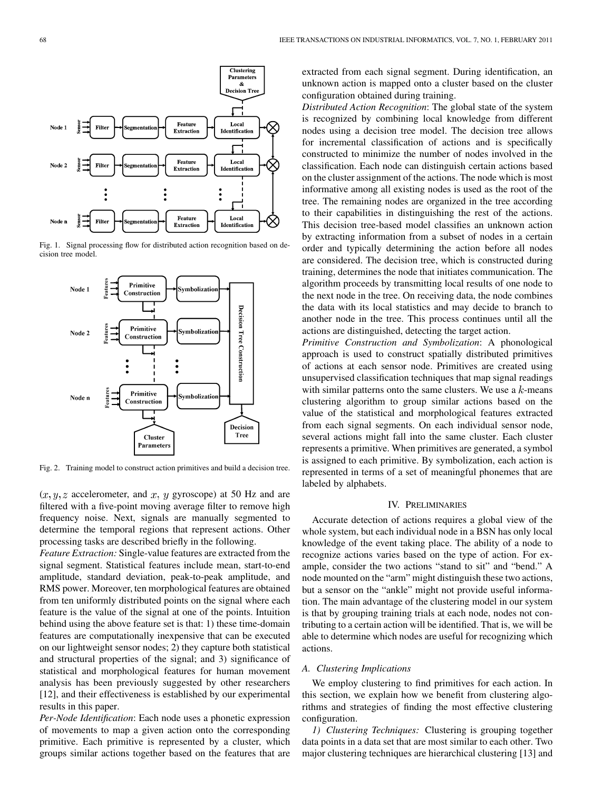

Fig. 1. Signal processing flow for distributed action recognition based on decision tree model.



Fig. 2. Training model to construct action primitives and build a decision tree.

 $(x, y, z)$  accelerometer, and x, y gyroscope) at 50 Hz and are filtered with a five-point moving average filter to remove high frequency noise. Next, signals are manually segmented to determine the temporal regions that represent actions. Other processing tasks are described briefly in the following.

*Feature Extraction:* Single-value features are extracted from the signal segment. Statistical features include mean, start-to-end amplitude, standard deviation, peak-to-peak amplitude, and RMS power. Moreover, ten morphological features are obtained from ten uniformly distributed points on the signal where each feature is the value of the signal at one of the points. Intuition behind using the above feature set is that: 1) these time-domain features are computationally inexpensive that can be executed on our lightweight sensor nodes; 2) they capture both statistical and structural properties of the signal; and 3) significance of statistical and morphological features for human movement analysis has been previously suggested by other researchers [12], and their effectiveness is established by our experimental results in this paper.

*Per-Node Identification*: Each node uses a phonetic expression of movements to map a given action onto the corresponding primitive. Each primitive is represented by a cluster, which groups similar actions together based on the features that are extracted from each signal segment. During identification, an unknown action is mapped onto a cluster based on the cluster configuration obtained during training.

*Distributed Action Recognition*: The global state of the system is recognized by combining local knowledge from different nodes using a decision tree model. The decision tree allows for incremental classification of actions and is specifically constructed to minimize the number of nodes involved in the classification. Each node can distinguish certain actions based on the cluster assignment of the actions. The node which is most informative among all existing nodes is used as the root of the tree. The remaining nodes are organized in the tree according to their capabilities in distinguishing the rest of the actions. This decision tree-based model classifies an unknown action by extracting information from a subset of nodes in a certain order and typically determining the action before all nodes are considered. The decision tree, which is constructed during training, determines the node that initiates communication. The algorithm proceeds by transmitting local results of one node to the next node in the tree. On receiving data, the node combines the data with its local statistics and may decide to branch to another node in the tree. This process continues until all the actions are distinguished, detecting the target action.

*Primitive Construction and Symbolization*: A phonological approach is used to construct spatially distributed primitives of actions at each sensor node. Primitives are created using unsupervised classification techniques that map signal readings with similar patterns onto the same clusters. We use a  $k$ -means clustering algorithm to group similar actions based on the value of the statistical and morphological features extracted from each signal segments. On each individual sensor node, several actions might fall into the same cluster. Each cluster represents a primitive. When primitives are generated, a symbol is assigned to each primitive. By symbolization, each action is represented in terms of a set of meaningful phonemes that are labeled by alphabets.

# IV. PRELIMINARIES

Accurate detection of actions requires a global view of the whole system, but each individual node in a BSN has only local knowledge of the event taking place. The ability of a node to recognize actions varies based on the type of action. For example, consider the two actions "stand to sit" and "bend." A node mounted on the "arm" might distinguish these two actions, but a sensor on the "ankle" might not provide useful information. The main advantage of the clustering model in our system is that by grouping training trials at each node, nodes not contributing to a certain action will be identified. That is, we will be able to determine which nodes are useful for recognizing which actions.

# *A. Clustering Implications*

We employ clustering to find primitives for each action. In this section, we explain how we benefit from clustering algorithms and strategies of finding the most effective clustering configuration.

*1) Clustering Techniques:* Clustering is grouping together data points in a data set that are most similar to each other. Two major clustering techniques are hierarchical clustering [13] and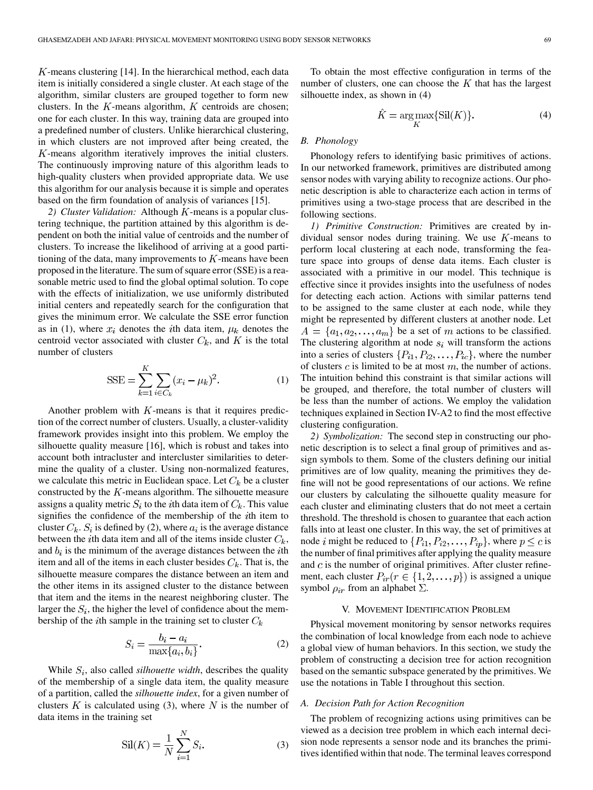$K$ -means clustering [14]. In the hierarchical method, each data item is initially considered a single cluster. At each stage of the algorithm, similar clusters are grouped together to form new clusters. In the  $K$ -means algorithm,  $K$  centroids are chosen; one for each cluster. In this way, training data are grouped into a predefined number of clusters. Unlike hierarchical clustering, in which clusters are not improved after being created, the  $K$ -means algorithm iteratively improves the initial clusters. The continuously improving nature of this algorithm leads to high-quality clusters when provided appropriate data. We use this algorithm for our analysis because it is simple and operates based on the firm foundation of analysis of variances [15].

2) Cluster Validation: Although K-means is a popular clustering technique, the partition attained by this algorithm is dependent on both the initial value of centroids and the number of clusters. To increase the likelihood of arriving at a good partitioning of the data, many improvements to  $K$ -means have been proposed in the literature. The sum of square error (SSE) is a reasonable metric used to find the global optimal solution. To cope with the effects of initialization, we use uniformly distributed initial centers and repeatedly search for the configuration that gives the minimum error. We calculate the SSE error function as in (1), where  $x_i$  denotes the *i*th data item,  $\mu_k$  denotes the centroid vector associated with cluster  $C_k$ , and K is the total number of clusters

$$
SSE = \sum_{k=1}^{K} \sum_{i \in C_k} (x_i - \mu_k)^2.
$$
 (1)

Another problem with  $K$ -means is that it requires prediction of the correct number of clusters. Usually, a cluster-validity framework provides insight into this problem. We employ the silhouette quality measure [16], which is robust and takes into account both intracluster and intercluster similarities to determine the quality of a cluster. Using non-normalized features, we calculate this metric in Euclidean space. Let  $C_k$  be a cluster constructed by the  $K$ -means algorithm. The silhouette measure assigns a quality metric  $S_i$  to the *i*th data item of  $C_k$ . This value signifies the confidence of the membership of the  $i$ th item to cluster  $C_k$ .  $S_i$  is defined by (2), where  $a_i$  is the average distance between the *i*th data item and all of the items inside cluster  $C_k$ , and  $b_i$  is the minimum of the average distances between the *i*th item and all of the items in each cluster besides  $C_k$ . That is, the silhouette measure compares the distance between an item and the other items in its assigned cluster to the distance between that item and the items in the nearest neighboring cluster. The larger the  $S_i$ , the higher the level of confidence about the membership of the *i*th sample in the training set to cluster  $C_k$ 

$$
S_i = \frac{b_i - a_i}{\max\{a_i, b_i\}}.\tag{2}
$$

While  $S_i$ , also called *silhouette width*, describes the quality of the membership of a single data item, the quality measure of a partition, called the *silhouette index*, for a given number of clusters K is calculated using  $(3)$ , where N is the number of data items in the training set

$$
Sil(K) = \frac{1}{N} \sum_{i=1}^{N} S_i.
$$
 (3)

To obtain the most effective configuration in terms of the number of clusters, one can choose the  $K$  that has the largest silhouette index, as shown in (4)

$$
\hat{K} = \underset{K}{\text{arg}\max} \{ \text{Sil}(K) \}. \tag{4}
$$

# *B. Phonology*

Phonology refers to identifying basic primitives of actions. In our networked framework, primitives are distributed among sensor nodes with varying ability to recognize actions. Our phonetic description is able to characterize each action in terms of primitives using a two-stage process that are described in the following sections.

*1) Primitive Construction:* Primitives are created by individual sensor nodes during training. We use  $K$ -means to perform local clustering at each node, transforming the feature space into groups of dense data items. Each cluster is associated with a primitive in our model. This technique is effective since it provides insights into the usefulness of nodes for detecting each action. Actions with similar patterns tend to be assigned to the same cluster at each node, while they might be represented by different clusters at another node. Let  $A = \{a_1, a_2, \ldots, a_m\}$  be a set of m actions to be classified. The clustering algorithm at node  $s_i$  will transform the actions into a series of clusters  $\{P_{i1}, P_{i2}, \ldots, P_{ic}\}$ , where the number of clusters  $c$  is limited to be at most  $m$ , the number of actions. The intuition behind this constraint is that similar actions will be grouped, and therefore, the total number of clusters will be less than the number of actions. We employ the validation techniques explained in Section IV-A2 to find the most effective clustering configuration.

*2) Symbolization:* The second step in constructing our phonetic description is to select a final group of primitives and assign symbols to them. Some of the clusters defining our initial primitives are of low quality, meaning the primitives they define will not be good representations of our actions. We refine our clusters by calculating the silhouette quality measure for each cluster and eliminating clusters that do not meet a certain threshold. The threshold is chosen to guarantee that each action falls into at least one cluster. In this way, the set of primitives at node *i* might be reduced to  $\{P_{i1}, P_{i2}, \dots, P_{ip}\}$ , where  $p \le c$  is the number of final primitives after applying the quality measure and  $c$  is the number of original primitives. After cluster refinement, each cluster  $P_{ir}(r \in \{1, 2, \ldots, p\})$  is assigned a unique symbol  $\rho_{ir}$  from an alphabet  $\Sigma$ .

## V. MOVEMENT IDENTIFICATION PROBLEM

Physical movement monitoring by sensor networks requires the combination of local knowledge from each node to achieve a global view of human behaviors. In this section, we study the problem of constructing a decision tree for action recognition based on the semantic subspace generated by the primitives. We use the notations in Table I throughout this section.

# *A. Decision Path for Action Recognition*

The problem of recognizing actions using primitives can be viewed as a decision tree problem in which each internal decision node represents a sensor node and its branches the primitives identified within that node. The terminal leaves correspond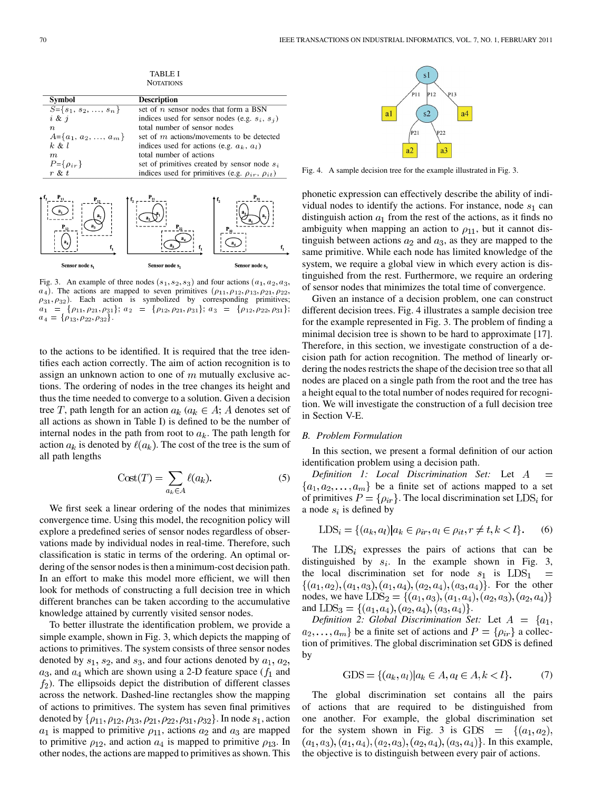| <b>Symbol</b>                   | <b>Description</b>                                         |
|---------------------------------|------------------------------------------------------------|
| $S = \{s_1, s_2, \ldots, s_n\}$ | set of <i>n</i> sensor nodes that form a BSN               |
| $i \& j$                        | indices used for sensor nodes (e.g. $s_i$ , $s_j$ )        |
| $\boldsymbol{n}$                | total number of sensor nodes                               |
| $A = \{a_1, a_2, \ldots, a_m\}$ | set of $m$ actions/movements to be detected                |
| $k \& l$                        | indices used for actions (e.g. $a_k$ , $a_l$ )             |
| m                               | total number of actions                                    |
| $P=\{\rho_{ir}\}\$              | set of primitives created by sensor node $s_i$             |
| $r$ & $t$                       | indices used for primitives (e.g. $\rho_{ir}, \rho_{it}$ ) |

TABLE I **NOTATIONS** 



Fig. 3. An example of three nodes  $(s_1, s_2, s_3)$  and four actions  $(a_1, a_2, a_3,$  $a_4$ ). The actions are mapped to seven primitives  $(\rho_{11}, \rho_{12}, \rho_{13}, \rho_{21}, \rho_{22},$  $(\rho_{31}, \rho_{32})$ . Each action is symbolized by corresponding primitives;  $a_1 = {\rho_{11}, \rho_{21}, \rho_{31}}; a_2 = {\rho_{12}, \rho_{21}, \rho_{31}}; a_3 = {\rho_{12}, \rho_{22}, \rho_{31}};$  $a_4 = {\rho_{13}, \rho_{22}, \rho_{32}}.$ 

to the actions to be identified. It is required that the tree identifies each action correctly. The aim of action recognition is to assign an unknown action to one of  $m$  mutually exclusive actions. The ordering of nodes in the tree changes its height and thus the time needed to converge to a solution. Given a decision tree T, path length for an action  $a_k$  ( $a_k \in A$ ; A denotes set of all actions as shown in Table I) is defined to be the number of internal nodes in the path from root to  $a_k$ . The path length for action  $a_k$  is denoted by  $\ell(a_k)$ . The cost of the tree is the sum of all path lengths

$$
Cost(T) = \sum_{a_k \in A} \ell(a_k). \tag{5}
$$

We first seek a linear ordering of the nodes that minimizes convergence time. Using this model, the recognition policy will explore a predefined series of sensor nodes regardless of observations made by individual nodes in real-time. Therefore, such classification is static in terms of the ordering. An optimal ordering of the sensor nodes is then a minimum-cost decision path. In an effort to make this model more efficient, we will then look for methods of constructing a full decision tree in which different branches can be taken according to the accumulative knowledge attained by currently visited sensor nodes.

To better illustrate the identification problem, we provide a simple example, shown in Fig. 3, which depicts the mapping of actions to primitives. The system consists of three sensor nodes denoted by  $s_1$ ,  $s_2$ , and  $s_3$ , and four actions denoted by  $a_1$ ,  $a_2$ ,  $a_3$ , and  $a_4$  which are shown using a 2-D feature space ( $f_1$  and  $f_2$ ). The ellipsoids depict the distribution of different classes across the network. Dashed-line rectangles show the mapping of actions to primitives. The system has seven final primitives denoted by  $\{\rho_{11}, \rho_{12}, \rho_{13}, \rho_{21}, \rho_{22}, \rho_{31}, \rho_{32}\}\$ . In node  $s_1$ , action  $a_1$  is mapped to primitive  $\rho_{11}$ , actions  $a_2$  and  $a_3$  are mapped to primitive  $\rho_{12}$ , and action  $a_4$  is mapped to primitive  $\rho_{13}$ . In other nodes, the actions are mapped to primitives as shown. This



Fig. 4. A sample decision tree for the example illustrated in Fig. 3.

phonetic expression can effectively describe the ability of individual nodes to identify the actions. For instance, node  $s_1$  can distinguish action  $a_1$  from the rest of the actions, as it finds no ambiguity when mapping an action to  $\rho_{11}$ , but it cannot distinguish between actions  $a_2$  and  $a_3$ , as they are mapped to the same primitive. While each node has limited knowledge of the system, we require a global view in which every action is distinguished from the rest. Furthermore, we require an ordering of sensor nodes that minimizes the total time of convergence.

Given an instance of a decision problem, one can construct different decision trees. Fig. 4 illustrates a sample decision tree for the example represented in Fig. 3. The problem of finding a minimal decision tree is shown to be hard to approximate [17]. Therefore, in this section, we investigate construction of a decision path for action recognition. The method of linearly ordering the nodes restricts the shape of the decision tree so that all nodes are placed on a single path from the root and the tree has a height equal to the total number of nodes required for recognition. We will investigate the construction of a full decision tree in Section V-E.

#### *B. Problem Formulation*

In this section, we present a formal definition of our action identification problem using a decision path.

*Definition 1: Local Discrimination Set:* Let  $=$  ${a_1, a_2, \ldots, a_m}$  be a finite set of actions mapped to a set of primitives  $P = \{\rho_{ir}\}\.$  The local discrimination set  $\text{LDS}_i$  for a node  $s_i$  is defined by

$$
LDS_i = \{(a_k, a_l)| a_k \in \rho_{ir}, a_l \in \rho_{it}, r \neq t, k < l\}.\tag{6}
$$

The  $LDS_i$  expresses the pairs of actions that can be distinguished by  $s_i$ . In the example shown in Fig. 3, the local discrimination set for node  $s_1$  is  $LDS_1$  $\{(a_1, a_2), (a_1, a_3), (a_1, a_4), (a_2, a_4), (a_3, a_4)\}\.$  For the other nodes, we have  $\text{LDS}_2 = \{(a_1, a_3), (a_1, a_4), (a_2, a_3), (a_2, a_4)\}\$ and  $LDS_3 = \{(a_1, a_4), (a_2, a_4), (a_3, a_4)\}.$ 

*Definition 2: Global Discrimination Set:* Let  $A = \{a_1, a_2, \ldots, a_n\}$  $a_2, \ldots, a_m$  be a finite set of actions and  $P = \{\rho_{ir}\}\$ a collection of primitives. The global discrimination set GDS is defined by

GDS = {
$$
(a_k, a_l)
$$
| $a_k \in A, a_l \in A, k < l$ }. (7)

The global discrimination set contains all the pairs of actions that are required to be distinguished from one another. For example, the global discrimination set for the system shown in Fig. 3 is GDS =  $\{(a_1, a_2),$  $(a_1, a_3), (a_1, a_4), (a_2, a_3), (a_2, a_4), (a_3, a_4)$ . In this example, the objective is to distinguish between every pair of actions.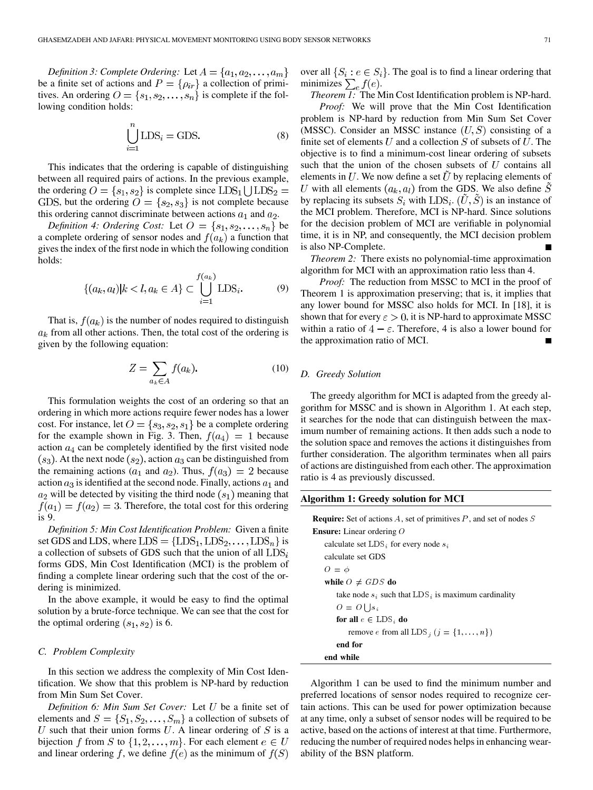*Definition 3: Complete Ordering:* Let  $A = \{a_1, a_2, \ldots, a_m\}$ be a finite set of actions and  $P = \{\rho_{ir}\}\$ a collection of primitives. An ordering  $O = \{s_1, s_2, \ldots, s_n\}$  is complete if the following condition holds:

$$
\bigcup_{i=1}^{n} \text{LDS}_{i} = \text{GDS}.\tag{8}
$$

This indicates that the ordering is capable of distinguishing between all required pairs of actions. In the previous example, the ordering  $O = \{s_1, s_2\}$  is complete since  $LDS_1 \bigcup LDS_2 =$ GDS, but the ordering  $O = \{s_2, s_3\}$  is not complete because this ordering cannot discriminate between actions  $a_1$  and  $a_2$ .

*Definition 4: Ordering Cost:* Let  $O = \{s_1, s_2, \ldots, s_n\}$  be a complete ordering of sensor nodes and  $f(a_k)$  a function that gives the index of the first node in which the following condition holds:

$$
\{(a_k, a_l)|k < l, a_k \in A\} \subset \bigcup_{i=1}^{f(a_k)} \text{LDS}_i. \tag{9}
$$

That is,  $f(a_k)$  is the number of nodes required to distinguish  $a_k$  from all other actions. Then, the total cost of the ordering is given by the following equation:

$$
Z = \sum_{a_k \in A} f(a_k). \tag{10}
$$

This formulation weights the cost of an ordering so that an ordering in which more actions require fewer nodes has a lower cost. For instance, let  $O = \{s_3, s_2, s_1\}$  be a complete ordering for the example shown in Fig. 3. Then,  $f(a_4) = 1$  because action  $a_4$  can be completely identified by the first visited node  $(s_3)$ . At the next node  $(s_2)$ , action  $a_3$  can be distinguished from the remaining actions ( $a_1$  and  $a_2$ ). Thus,  $f(a_3) = 2$  because action  $a_3$  is identified at the second node. Finally, actions  $a_1$  and  $a_2$  will be detected by visiting the third node  $(s_1)$  meaning that  $f(a_1) = f(a_2) = 3$ . Therefore, the total cost for this ordering is 9.

*Definition 5: Min Cost Identification Problem:* Given a finite set GDS and LDS, where  $LDS = \{LDS_1, LDS_2, \ldots, LDS_n\}$  is a collection of subsets of GDS such that the union of all  $LDS_i$ forms GDS, Min Cost Identification (MCI) is the problem of finding a complete linear ordering such that the cost of the ordering is minimized.

In the above example, it would be easy to find the optimal solution by a brute-force technique. We can see that the cost for the optimal ordering  $(s_1, s_2)$  is 6.

#### *C. Problem Complexity*

In this section we address the complexity of Min Cost Identification. We show that this problem is NP-hard by reduction from Min Sum Set Cover.

*Definition 6: Min Sum Set Cover:* Let U be a finite set of elements and  $S = \{S_1, S_2, \ldots, S_m\}$  a collection of subsets of  $U$  such that their union forms  $U$ . A linear ordering of  $S$  is a bijection f from S to  $\{1, 2, \ldots, m\}$ . For each element  $e \in U$ and linear ordering f, we define  $f(e)$  as the minimum of  $f(S)$ 

over all  $\{S_i : e \in S_i\}$ . The goal is to find a linear ordering that minimizes  $\sum_{e} f(e)$ .

*Theorem 1:* The Min Cost Identification problem is NP-hard.

*Proof:* We will prove that the Min Cost Identification problem is NP-hard by reduction from Min Sum Set Cover (MSSC). Consider an MSSC instance  $(U, S)$  consisting of a finite set of elements U and a collection  $S$  of subsets of U. The objective is to find a minimum-cost linear ordering of subsets such that the union of the chosen subsets of  $U$  contains all elements in U. We now define a set  $\tilde{U}$  by replacing elements of U with all elements  $(a_k, a_l)$  from the GDS. We also define  $\tilde{S}$ by replacing its subsets  $S_i$  with  $LDS_i$ .  $(U, S)$  is an instance of the MCI problem. Therefore, MCI is NP-hard. Since solutions for the decision problem of MCI are verifiable in polynomial time, it is in NP, and consequently, the MCI decision problem is also NP-Complete.

*Theorem 2:* There exists no polynomial-time approximation algorithm for MCI with an approximation ratio less than 4.

*Proof:* The reduction from MSSC to MCI in the proof of Theorem 1 is approximation preserving; that is, it implies that any lower bound for MSSC also holds for MCI. In [18], it is shown that for every  $\varepsilon > 0$ , it is NP-hard to approximate MSSC within a ratio of  $4 - \varepsilon$ . Therefore, 4 is also a lower bound for the approximation ratio of MCI.

#### *D. Greedy Solution*

The greedy algorithm for MCI is adapted from the greedy algorithm for MSSC and is shown in Algorithm 1. At each step, it searches for the node that can distinguish between the maximum number of remaining actions. It then adds such a node to the solution space and removes the actions it distinguishes from further consideration. The algorithm terminates when all pairs of actions are distinguished from each other. The approximation ratio is 4 as previously discussed.

#### **Algorithm 1: Greedy solution for MCI**

**Require:** Set of actions  $A$ , set of primitives  $P$ , and set of nodes  $S$ **Ensure:** Linear ordering calculate set  $LDS<sub>i</sub>$  for every node s calculate set GDS  $Q = \phi$ **while**  $O \neq GDS$  **do** take node  $s_i$  such that  $LDS_i$  is maximum cardinality  $O = O($   $|s_i|$  $\mathbf{for} \ \mathbf{all} \ e \in \mathrm{LDS}_i \ \mathbf{do}$ remove *e* from all LDS<sub>j</sub>  $(j = \{1, ..., n\})$ **end for end while**

Algorithm 1 can be used to find the minimum number and preferred locations of sensor nodes required to recognize certain actions. This can be used for power optimization because at any time, only a subset of sensor nodes will be required to be active, based on the actions of interest at that time. Furthermore, reducing the number of required nodes helps in enhancing wearability of the BSN platform.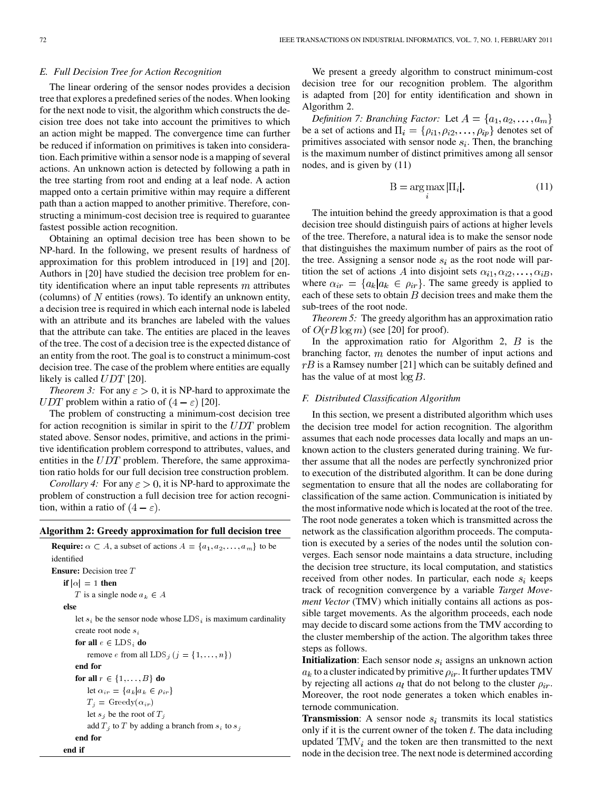# *E. Full Decision Tree for Action Recognition*

The linear ordering of the sensor nodes provides a decision tree that explores a predefined series of the nodes. When looking for the next node to visit, the algorithm which constructs the decision tree does not take into account the primitives to which an action might be mapped. The convergence time can further be reduced if information on primitives is taken into consideration. Each primitive within a sensor node is a mapping of several actions. An unknown action is detected by following a path in the tree starting from root and ending at a leaf node. A action mapped onto a certain primitive within may require a different path than a action mapped to another primitive. Therefore, constructing a minimum-cost decision tree is required to guarantee fastest possible action recognition.

Obtaining an optimal decision tree has been shown to be NP-hard. In the following, we present results of hardness of approximation for this problem introduced in [19] and [20]. Authors in [20] have studied the decision tree problem for entity identification where an input table represents  $m$  attributes (columns) of  $N$  entities (rows). To identify an unknown entity, a decision tree is required in which each internal node is labeled with an attribute and its branches are labeled with the values that the attribute can take. The entities are placed in the leaves of the tree. The cost of a decision tree is the expected distance of an entity from the root. The goal is to construct a minimum-cost decision tree. The case of the problem where entities are equally likely is called  $UDT$  [20].

*Theorem 3:* For any  $\varepsilon > 0$ , it is NP-hard to approximate the UDT problem within a ratio of  $(4 - \varepsilon)$  [20].

The problem of constructing a minimum-cost decision tree for action recognition is similar in spirit to the  $UDT$  problem stated above. Sensor nodes, primitive, and actions in the primitive identification problem correspond to attributes, values, and entities in the  $UDT$  problem. Therefore, the same approximation ratio holds for our full decision tree construction problem.

*Corollary 4:* For any  $\varepsilon > 0$ , it is NP-hard to approximate the problem of construction a full decision tree for action recognition, within a ratio of  $(4 - \varepsilon)$ .

# **Algorithm 2: Greedy approximation for full decision tree**

```
Require: \alpha \subset A, a subset of actions A = \{a_1, a_2, \ldots, a_m\} to be
identified
Ensure: Decision tree 
    if |\alpha| = 1 then
        T is a single node a_k \in Aelse
        let s_i be the sensor node whose LDS_i is maximum cardinality
       create root node s_ifor all e \in \text{LDS}_i do
            remove e from all LDS_j (j = \{1, ..., n\})end for
        for all r \in \{1, \ldots, B\} do
            let \alpha_{ir} = \{a_k | a_k \in \rho_{ir}\}\T_j = \text{Greedy}(\alpha_{ir})let s_i be the root of T_iadd T_i to T by adding a branch from s_i to s_iend for
    end if
```
We present a greedy algorithm to construct minimum-cost decision tree for our recognition problem. The algorithm is adapted from [20] for entity identification and shown in Algorithm 2.

*Definition 7: Branching Factor:* Let  $A = \{a_1, a_2, \dots, a_m\}$ be a set of actions and  $\Pi_i = \{\rho_{i1}, \rho_{i2}, \dots, \rho_{ip}\}\$  denotes set of primitives associated with sensor node  $s_i$ . Then, the branching is the maximum number of distinct primitives among all sensor nodes, and is given by (11)

$$
B = \underset{i}{\arg \max} |\Pi_i|.
$$
 (11)

The intuition behind the greedy approximation is that a good decision tree should distinguish pairs of actions at higher levels of the tree. Therefore, a natural idea is to make the sensor node that distinguishes the maximum number of pairs as the root of the tree. Assigning a sensor node  $s_i$  as the root node will partition the set of actions A into disjoint sets  $\alpha_{i1}, \alpha_{i2}, \dots, \alpha_{iB}$ , where  $\alpha_{ir} = \{a_k | a_k \in \rho_{ir}\}\$ . The same greedy is applied to each of these sets to obtain  $B$  decision trees and make them the sub-trees of the root node.

*Theorem 5:* The greedy algorithm has an approximation ratio of  $O(rB \log m)$  (see [20] for proof).

In the approximation ratio for Algorithm 2,  $\hat{B}$  is the branching factor,  $m$  denotes the number of input actions and  $rB$  is a Ramsey number [21] which can be suitably defined and has the value of at most  $\log B$ .

#### *F. Distributed Classification Algorithm*

In this section, we present a distributed algorithm which uses the decision tree model for action recognition. The algorithm assumes that each node processes data locally and maps an unknown action to the clusters generated during training. We further assume that all the nodes are perfectly synchronized prior to execution of the distributed algorithm. It can be done during segmentation to ensure that all the nodes are collaborating for classification of the same action. Communication is initiated by the most informative node which is located at the root of the tree. The root node generates a token which is transmitted across the network as the classification algorithm proceeds. The computation is executed by a series of the nodes until the solution converges. Each sensor node maintains a data structure, including the decision tree structure, its local computation, and statistics received from other nodes. In particular, each node  $s_i$  keeps track of recognition convergence by a variable *Target Movement Vector* (TMV) which initially contains all actions as possible target movements. As the algorithm proceeds, each node may decide to discard some actions from the TMV according to the cluster membership of the action. The algorithm takes three steps as follows.

**Initialization**: Each sensor node  $s_i$  assigns an unknown action  $a_k$  to a cluster indicated by primitive  $\rho_{ir}$ . It further updates TMV by rejecting all actions  $a_l$  that do not belong to the cluster  $\rho_{ir}$ . Moreover, the root node generates a token which enables internode communication.

**Transmission**: A sensor node  $s_i$  transmits its local statistics only if it is the current owner of the token  $t$ . The data including updated  $\text{TMV}_i$  and the token are then transmitted to the next node in the decision tree. The next node is determined according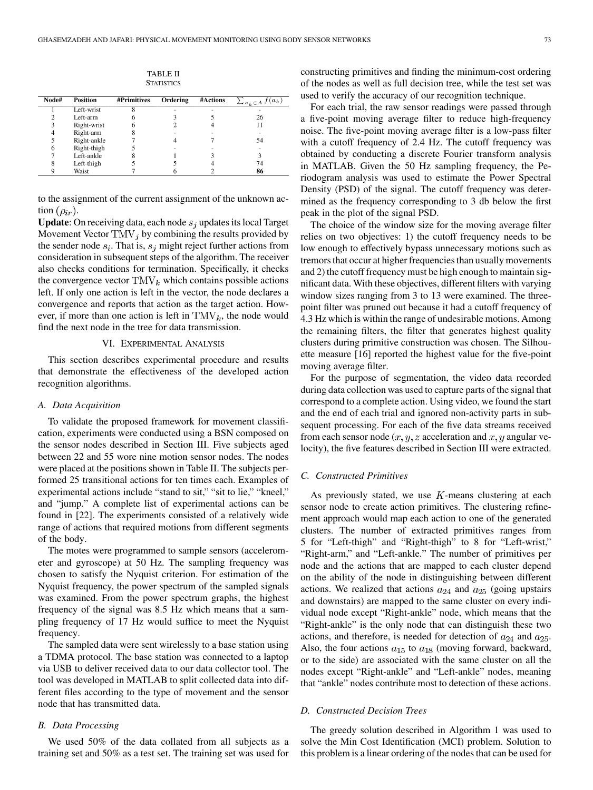| Node# | <b>Position</b> | #Primitives | Ordering | #Actions | $\sum_{a_k \in A} J(a_k)$ |
|-------|-----------------|-------------|----------|----------|---------------------------|
|       | Left-wrist      | 8           |          |          |                           |
|       | Left-arm        |             |          |          | 26                        |
| 3     | Right-wrist     |             |          |          |                           |
|       | Right-arm       |             |          |          |                           |
|       | Right-ankle     |             |          |          | 54                        |
| 6     | Right-thigh     |             |          |          |                           |
|       | Left-ankle      |             |          |          |                           |
| 8     | Left-thigh      |             |          |          | 74                        |
|       | Waist           |             |          |          | 86                        |

TABLE II **STATISTICS** 

to the assignment of the current assignment of the unknown action  $(\rho_{ir})$ .

**Update:** On receiving data, each node  $s_i$  updates its local Target Movement Vector  $\text{TMV}_i$  by combining the results provided by the sender node  $s_i$ . That is,  $s_j$  might reject further actions from consideration in subsequent steps of the algorithm. The receiver also checks conditions for termination. Specifically, it checks the convergence vector  $\text{TMV}_k$  which contains possible actions left. If only one action is left in the vector, the node declares a convergence and reports that action as the target action. However, if more than one action is left in  $\text{TMV}_k$ , the node would find the next node in the tree for data transmission.

# VI. EXPERIMENTAL ANALYSIS

This section describes experimental procedure and results that demonstrate the effectiveness of the developed action recognition algorithms.

## *A. Data Acquisition*

To validate the proposed framework for movement classification, experiments were conducted using a BSN composed on the sensor nodes described in Section III. Five subjects aged between 22 and 55 wore nine motion sensor nodes. The nodes were placed at the positions shown in Table II. The subjects performed 25 transitional actions for ten times each. Examples of experimental actions include "stand to sit," "sit to lie," "kneel," and "jump." A complete list of experimental actions can be found in [22]. The experiments consisted of a relatively wide range of actions that required motions from different segments of the body.

The motes were programmed to sample sensors (accelerometer and gyroscope) at 50 Hz. The sampling frequency was chosen to satisfy the Nyquist criterion. For estimation of the Nyquist frequency, the power spectrum of the sampled signals was examined. From the power spectrum graphs, the highest frequency of the signal was 8.5 Hz which means that a sampling frequency of 17 Hz would suffice to meet the Nyquist frequency.

The sampled data were sent wirelessly to a base station using a TDMA protocol. The base station was connected to a laptop via USB to deliver received data to our data collector tool. The tool was developed in MATLAB to split collected data into different files according to the type of movement and the sensor node that has transmitted data.

# *B. Data Processing*

We used 50% of the data collated from all subjects as a training set and 50% as a test set. The training set was used for

constructing primitives and finding the minimum-cost ordering of the nodes as well as full decision tree, while the test set was used to verify the accuracy of our recognition technique.

For each trial, the raw sensor readings were passed through a five-point moving average filter to reduce high-frequency noise. The five-point moving average filter is a low-pass filter with a cutoff frequency of 2.4 Hz. The cutoff frequency was obtained by conducting a discrete Fourier transform analysis in MATLAB. Given the 50 Hz sampling frequency, the Periodogram analysis was used to estimate the Power Spectral Density (PSD) of the signal. The cutoff frequency was determined as the frequency corresponding to 3 db below the first peak in the plot of the signal PSD.

The choice of the window size for the moving average filter relies on two objectives: 1) the cutoff frequency needs to be low enough to effectively bypass unnecessary motions such as tremors that occur at higher frequencies than usually movements and 2) the cutoff frequency must be high enough to maintain significant data. With these objectives, different filters with varying window sizes ranging from 3 to 13 were examined. The threepoint filter was pruned out because it had a cutoff frequency of 4.3 Hz which is within the range of undesirable motions. Among the remaining filters, the filter that generates highest quality clusters during primitive construction was chosen. The Silhouette measure [16] reported the highest value for the five-point moving average filter.

For the purpose of segmentation, the video data recorded during data collection was used to capture parts of the signal that correspond to a complete action. Using video, we found the start and the end of each trial and ignored non-activity parts in subsequent processing. For each of the five data streams received from each sensor node  $(x, y, z)$  acceleration and  $x, y$  angular velocity), the five features described in Section III were extracted.

# *C. Constructed Primitives*

As previously stated, we use  $K$ -means clustering at each sensor node to create action primitives. The clustering refinement approach would map each action to one of the generated clusters. The number of extracted primitives ranges from 5 for "Left-thigh" and "Right-thigh" to 8 for "Left-wrist," "Right-arm," and "Left-ankle." The number of primitives per node and the actions that are mapped to each cluster depend on the ability of the node in distinguishing between different actions. We realized that actions  $a_{24}$  and  $a_{25}$  (going upstairs and downstairs) are mapped to the same cluster on every individual node except "Right-ankle" node, which means that the "Right-ankle" is the only node that can distinguish these two actions, and therefore, is needed for detection of  $a_{24}$  and  $a_{25}$ . Also, the four actions  $a_{15}$  to  $a_{18}$  (moving forward, backward, or to the side) are associated with the same cluster on all the nodes except "Right-ankle" and "Left-ankle" nodes, meaning that "ankle" nodes contribute most to detection of these actions.

### *D. Constructed Decision Trees*

The greedy solution described in Algorithm 1 was used to solve the Min Cost Identification (MCI) problem. Solution to this problem is a linear ordering of the nodes that can be used for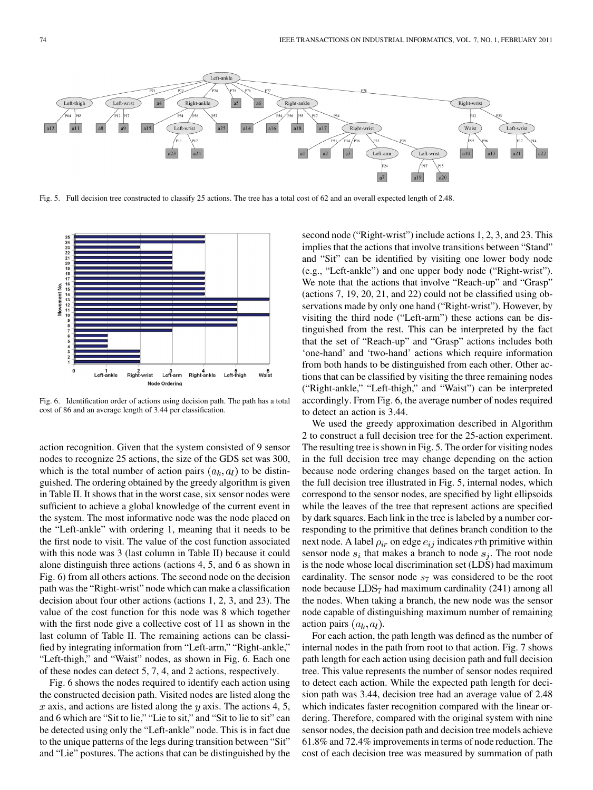

Fig. 5. Full decision tree constructed to classify 25 actions. The tree has a total cost of 62 and an overall expected length of 2.48.



Fig. 6. Identification order of actions using decision path. The path has a total cost of 86 and an average length of 3.44 per classification.

action recognition. Given that the system consisted of 9 sensor nodes to recognize 25 actions, the size of the GDS set was 300, which is the total number of action pairs  $(a_k, a_l)$  to be distinguished. The ordering obtained by the greedy algorithm is given in Table II. It shows that in the worst case, six sensor nodes were sufficient to achieve a global knowledge of the current event in the system. The most informative node was the node placed on the "Left-ankle" with ordering 1, meaning that it needs to be the first node to visit. The value of the cost function associated with this node was 3 (last column in Table II) because it could alone distinguish three actions (actions 4, 5, and 6 as shown in Fig. 6) from all others actions. The second node on the decision path was the "Right-wrist" node which can make a classification decision about four other actions (actions 1, 2, 3, and 23). The value of the cost function for this node was 8 which together with the first node give a collective cost of 11 as shown in the last column of Table II. The remaining actions can be classified by integrating information from "Left-arm," "Right-ankle," "Left-thigh," and "Waist" nodes, as shown in Fig. 6. Each one of these nodes can detect 5, 7, 4, and 2 actions, respectively.

Fig. 6 shows the nodes required to identify each action using the constructed decision path. Visited nodes are listed along the  $x$  axis, and actions are listed along the  $y$  axis. The actions 4, 5, and 6 which are "Sit to lie," "Lie to sit," and "Sit to lie to sit" can be detected using only the "Left-ankle" node. This is in fact due to the unique patterns of the legs during transition between "Sit" and "Lie" postures. The actions that can be distinguished by the

second node ("Right-wrist") include actions 1, 2, 3, and 23. This implies that the actions that involve transitions between "Stand" and "Sit" can be identified by visiting one lower body node (e.g., "Left-ankle") and one upper body node ("Right-wrist"). We note that the actions that involve "Reach-up" and "Grasp" (actions 7, 19, 20, 21, and 22) could not be classified using observations made by only one hand ("Right-wrist"). However, by visiting the third node ("Left-arm") these actions can be distinguished from the rest. This can be interpreted by the fact that the set of "Reach-up" and "Grasp" actions includes both 'one-hand' and 'two-hand' actions which require information from both hands to be distinguished from each other. Other actions that can be classified by visiting the three remaining nodes ("Right-ankle," "Left-thigh," and "Waist") can be interpreted accordingly. From Fig. 6, the average number of nodes required to detect an action is 3.44.

We used the greedy approximation described in Algorithm 2 to construct a full decision tree for the 25-action experiment. The resulting tree is shown in Fig. 5. The order for visiting nodes in the full decision tree may change depending on the action because node ordering changes based on the target action. In the full decision tree illustrated in Fig. 5, internal nodes, which correspond to the sensor nodes, are specified by light ellipsoids while the leaves of the tree that represent actions are specified by dark squares. Each link in the tree is labeled by a number corresponding to the primitive that defines branch condition to the next node. A label  $\rho_{ir}$  on edge  $e_{ij}$  indicates rth primitive within sensor node  $s_i$  that makes a branch to node  $s_i$ . The root node is the node whose local discrimination set (LDS) had maximum cardinality. The sensor node  $s<sub>7</sub>$  was considered to be the root node because  $LDS<sub>7</sub>$  had maximum cardinality (241) among all the nodes. When taking a branch, the new node was the sensor node capable of distinguishing maximum number of remaining action pairs  $(a_k, a_l)$ .

For each action, the path length was defined as the number of internal nodes in the path from root to that action. Fig. 7 shows path length for each action using decision path and full decision tree. This value represents the number of sensor nodes required to detect each action. While the expected path length for decision path was 3.44, decision tree had an average value of 2.48 which indicates faster recognition compared with the linear ordering. Therefore, compared with the original system with nine sensor nodes, the decision path and decision tree models achieve 61.8% and 72.4% improvements in terms of node reduction. The cost of each decision tree was measured by summation of path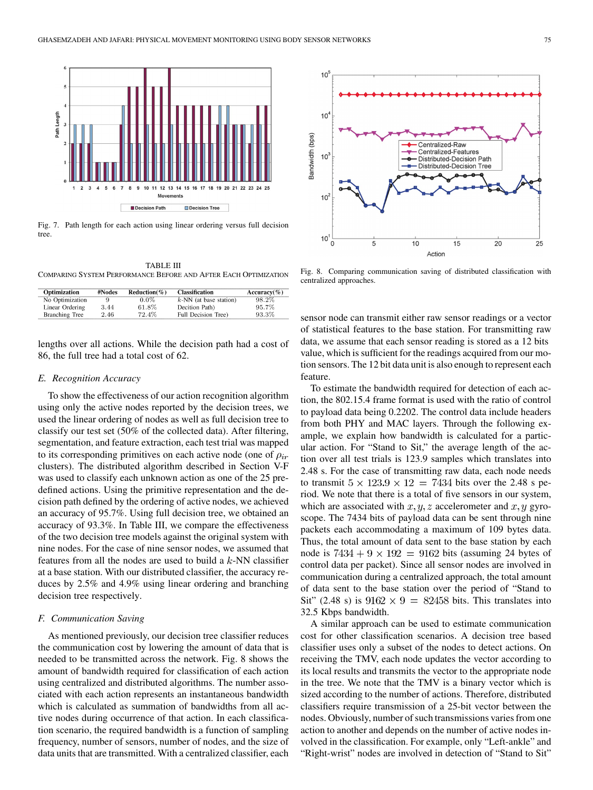

Fig. 7. Path length for each action using linear ordering versus full decision tree

TABLE III COMPARING SYSTEM PERFORMANCE BEFORE AND AFTER EACH OPTIMIZATION

| Optimization          | #Nodes   | $Reduction(\%)$ | <b>Classification</b>     | $Accuracy$ $\%$ |
|-----------------------|----------|-----------------|---------------------------|-----------------|
| No Optimization       |          | $0.0\%$         | $k$ -NN (at base station) | 98.2%           |
| Linear Ordering       | 3.44     | 61.8%           | Decition Path)            | 95.7%           |
| <b>Branching Tree</b> | $2.46\,$ | 72.4%           | Full Decision Tree)       | 93.3%           |

lengths over all actions. While the decision path had a cost of 86, the full tree had a total cost of 62.

#### *E. Recognition Accuracy*

To show the effectiveness of our action recognition algorithm using only the active nodes reported by the decision trees, we used the linear ordering of nodes as well as full decision tree to classify our test set (50% of the collected data). After filtering, segmentation, and feature extraction, each test trial was mapped to its corresponding primitives on each active node (one of  $\rho_{ir}$ ) clusters). The distributed algorithm described in Section V-F was used to classify each unknown action as one of the 25 predefined actions. Using the primitive representation and the decision path defined by the ordering of active nodes, we achieved an accuracy of 95.7%. Using full decision tree, we obtained an accuracy of 93.3%. In Table III, we compare the effectiveness of the two decision tree models against the original system with nine nodes. For the case of nine sensor nodes, we assumed that features from all the nodes are used to build a  $k$ -NN classifier at a base station. With our distributed classifier, the accuracy reduces by 2.5% and 4.9% using linear ordering and branching decision tree respectively.

# *F. Communication Saving*

As mentioned previously, our decision tree classifier reduces the communication cost by lowering the amount of data that is needed to be transmitted across the network. Fig. 8 shows the amount of bandwidth required for classification of each action using centralized and distributed algorithms. The number associated with each action represents an instantaneous bandwidth which is calculated as summation of bandwidths from all active nodes during occurrence of that action. In each classification scenario, the required bandwidth is a function of sampling frequency, number of sensors, number of nodes, and the size of data units that are transmitted. With a centralized classifier, each



Fig. 8. Comparing communication saving of distributed classification with centralized approaches.

sensor node can transmit either raw sensor readings or a vector of statistical features to the base station. For transmitting raw data, we assume that each sensor reading is stored as a 12 bits value, which is sufficient for the readings acquired from our motion sensors. The 12 bit data unit is also enough to represent each feature.

To estimate the bandwidth required for detection of each action, the 802.15.4 frame format is used with the ratio of control to payload data being 0.2202. The control data include headers from both PHY and MAC layers. Through the following example, we explain how bandwidth is calculated for a particular action. For "Stand to Sit," the average length of the action over all test trials is 123.9 samples which translates into 2.48 s. For the case of transmitting raw data, each node needs to transmit  $5 \times 123.9 \times 12 = 7434$  bits over the 2.48 s period. We note that there is a total of five sensors in our system, which are associated with  $x, y, z$  accelerometer and  $x, y$  gyroscope. The 7434 bits of payload data can be sent through nine packets each accommodating a maximum of 109 bytes data. Thus, the total amount of data sent to the base station by each node is  $7434 + 9 \times 192 = 9162$  bits (assuming 24 bytes of control data per packet). Since all sensor nodes are involved in communication during a centralized approach, the total amount of data sent to the base station over the period of "Stand to Sit" (2.48 s) is  $9162 \times 9 = 82458$  bits. This translates into 32.5 Kbps bandwidth.

A similar approach can be used to estimate communication cost for other classification scenarios. A decision tree based classifier uses only a subset of the nodes to detect actions. On receiving the TMV, each node updates the vector according to its local results and transmits the vector to the appropriate node in the tree. We note that the TMV is a binary vector which is sized according to the number of actions. Therefore, distributed classifiers require transmission of a 25-bit vector between the nodes. Obviously, number of such transmissions varies from one action to another and depends on the number of active nodes involved in the classification. For example, only "Left-ankle" and "Right-wrist" nodes are involved in detection of "Stand to Sit"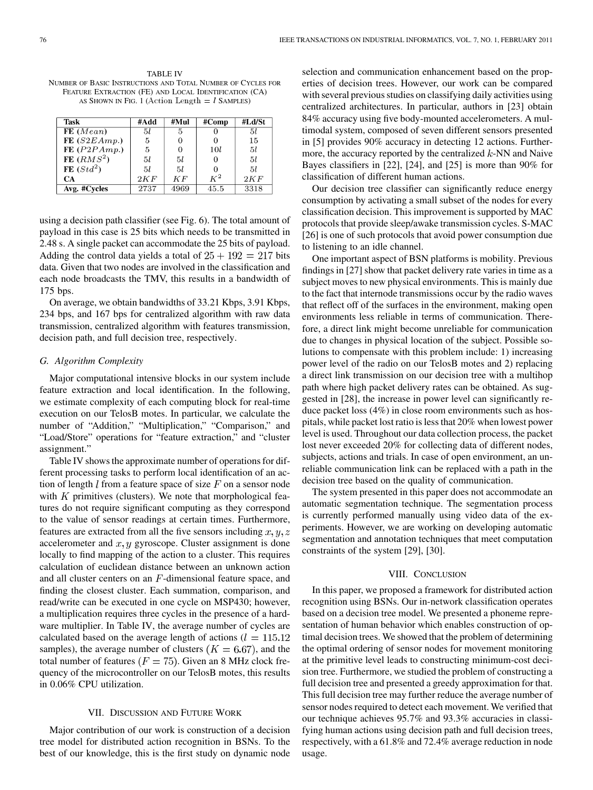TABLE IV NUMBER OF BASIC INSTRUCTIONS AND TOTAL NUMBER OF CYCLES FOR FEATURE EXTRACTION (FE) AND LOCAL IDENTIFICATION (CA) AS SHOWN IN FIG. 1 (Action Length  $=$  *l* SAMPLES)

| Task           | #Add | #Mul | #Comp      | #Ld/St |
|----------------|------|------|------------|--------|
| FE (Mean)      | 51   | 5    |            | 51     |
| FE $(S2EAmp.)$ | 5    |      |            | 15     |
| FE $(P2PAmp.)$ | 5    |      | <b>10l</b> | 51     |
| FE $(RMS^2)$   | 51   | 51   | 0          | 51     |
| FE $(Std^2)$   | 51   | 51   | 0          | 5l     |
| CА             | 2KF  | КF   | $K^2$      | 2KF    |
| Avg. #Cycles   | 2737 | 4969 | 45.5       | 3318   |

using a decision path classifier (see Fig. 6). The total amount of payload in this case is 25 bits which needs to be transmitted in 2.48 s. A single packet can accommodate the 25 bits of payload. Adding the control data yields a total of  $25 + 192 = 217$  bits data. Given that two nodes are involved in the classification and each node broadcasts the TMV, this results in a bandwidth of 175 bps.

On average, we obtain bandwidths of 33.21 Kbps, 3.91 Kbps, 234 bps, and 167 bps for centralized algorithm with raw data transmission, centralized algorithm with features transmission, decision path, and full decision tree, respectively.

# *G. Algorithm Complexity*

Major computational intensive blocks in our system include feature extraction and local identification. In the following, we estimate complexity of each computing block for real-time execution on our TelosB motes. In particular, we calculate the number of "Addition," "Multiplication," "Comparison," and "Load/Store" operations for "feature extraction," and "cluster assignment."

Table IV shows the approximate number of operations for different processing tasks to perform local identification of an action of length  $l$  from a feature space of size  $F$  on a sensor node with  $K$  primitives (clusters). We note that morphological features do not require significant computing as they correspond to the value of sensor readings at certain times. Furthermore, features are extracted from all the five sensors including  $x, y, z$ accelerometer and  $x, y$  gyroscope. Cluster assignment is done locally to find mapping of the action to a cluster. This requires calculation of euclidean distance between an unknown action and all cluster centers on an  $F$ -dimensional feature space, and finding the closest cluster. Each summation, comparison, and read/write can be executed in one cycle on MSP430; however, a multiplication requires three cycles in the presence of a hardware multiplier. In Table IV, the average number of cycles are calculated based on the average length of actions ( $l = 115.12$ ) samples), the average number of clusters  $(K = 6.67)$ , and the total number of features ( $F = 75$ ). Given an 8 MHz clock frequency of the microcontroller on our TelosB motes, this results in 0.06% CPU utilization.

## VII. DISCUSSION AND FUTURE WORK

Major contribution of our work is construction of a decision tree model for distributed action recognition in BSNs. To the best of our knowledge, this is the first study on dynamic node

selection and communication enhancement based on the properties of decision trees. However, our work can be compared with several previous studies on classifying daily activities using centralized architectures. In particular, authors in [23] obtain 84% accuracy using five body-mounted accelerometers. A multimodal system, composed of seven different sensors presented in [5] provides 90% accuracy in detecting 12 actions. Furthermore, the accuracy reported by the centralized  $k$ -NN and Naive Bayes classifiers in [22], [24], and [25] is more than 90% for classification of different human actions.

Our decision tree classifier can significantly reduce energy consumption by activating a small subset of the nodes for every classification decision. This improvement is supported by MAC protocols that provide sleep/awake transmission cycles. S-MAC [26] is one of such protocols that avoid power consumption due to listening to an idle channel.

One important aspect of BSN platforms is mobility. Previous findings in [27] show that packet delivery rate varies in time as a subject moves to new physical environments. This is mainly due to the fact that internode transmissions occur by the radio waves that reflect off of the surfaces in the environment, making open environments less reliable in terms of communication. Therefore, a direct link might become unreliable for communication due to changes in physical location of the subject. Possible solutions to compensate with this problem include: 1) increasing power level of the radio on our TelosB motes and 2) replacing a direct link transmission on our decision tree with a multihop path where high packet delivery rates can be obtained. As suggested in [28], the increase in power level can significantly reduce packet loss (4%) in close room environments such as hospitals, while packet lost ratio is less that 20% when lowest power level is used. Throughout our data collection process, the packet lost never exceeded 20% for collecting data of different nodes, subjects, actions and trials. In case of open environment, an unreliable communication link can be replaced with a path in the decision tree based on the quality of communication.

The system presented in this paper does not accommodate an automatic segmentation technique. The segmentation process is currently performed manually using video data of the experiments. However, we are working on developing automatic segmentation and annotation techniques that meet computation constraints of the system [29], [30].

## VIII. CONCLUSION

In this paper, we proposed a framework for distributed action recognition using BSNs. Our in-network classification operates based on a decision tree model. We presented a phoneme representation of human behavior which enables construction of optimal decision trees. We showed that the problem of determining the optimal ordering of sensor nodes for movement monitoring at the primitive level leads to constructing minimum-cost decision tree. Furthermore, we studied the problem of constructing a full decision tree and presented a greedy approximation for that. This full decision tree may further reduce the average number of sensor nodes required to detect each movement. We verified that our technique achieves 95.7% and 93.3% accuracies in classifying human actions using decision path and full decision trees, respectively, with a 61.8% and 72.4% average reduction in node usage.